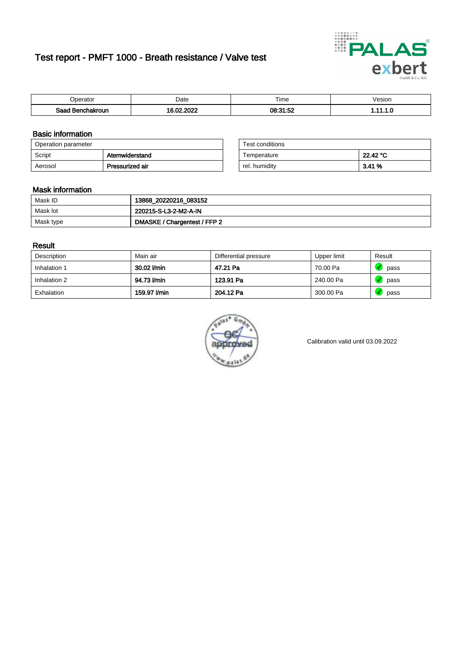# Test report - PMFT 1000 - Breath resistance / Valve test



| <b>'</b> perator                | Date | $- \cdot$<br><b>Time</b> | /esion |
|---------------------------------|------|--------------------------|--------|
| Saad<br><b>nchakroun</b><br>. . | 000  | 08:31:52                 | .      |

### Basic information

| Operation parameter |                 | Test conditions |          |
|---------------------|-----------------|-----------------|----------|
| Script              | Atemwiderstand  | Temperature     | 22.42 °C |
| Aerosol             | Pressurized air | rel. humidity   | 3.41%    |

| Test conditions |          |
|-----------------|----------|
| Temperature     | 22.42 °C |
| rel. humidity   | 3.41%    |

### Mask information

| Mask ID   | 13868_20220216_083152        |
|-----------|------------------------------|
| Mask lot  | 220215-S-L3-2-M2-A-IN        |
| Mask type | DMASKE / Chargentest / FFP 2 |

### Result

| Description  | Main air     | Differential pressure | Upper limit | Result |
|--------------|--------------|-----------------------|-------------|--------|
| Inhalation 1 | 30.02 l/min  | 47.21 Pa              | 70.00 Pa    | pass   |
| Inhalation 2 | 94.73 l/min  | 123.91 Pa             | 240.00 Pa   | pass   |
| Exhalation   | 159.97 l/min | 204.12 Pa             | 300.00 Pa   | pass   |



Calibration valid until 03.09.2022